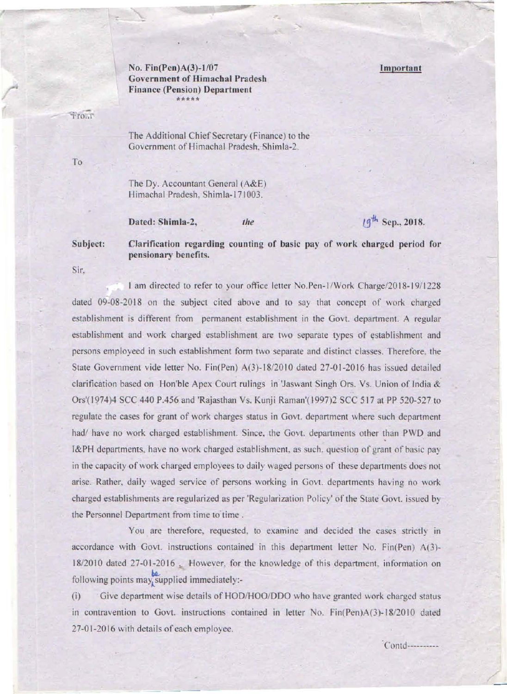## No.  $Fin(Pen)A(3)-1/07$ Government of Himachal Pradesh Finance (Pension) Department •••••

## Important

...

-fOur

The Additional Chief Secretary (Finance) to the Government of Himachal Pradesh. Shimla-2.

To

The Dy. Accountant General (A&E) Himachal Pradesh, Shimla-171003.

Dated: Shimla-2, the

 $19^{th}$  Sep., 2018.

Subject: Clarification regarding counting of basic pay of work charged period (or pensionary benefits.

Sir.

, I am directed 10 refer to your office letter NO.Pen-IlWork Charge/2018-191l228 dated  $09-08-2018$  on the subject cited above and to say that concept of work charged establishment is different from permanent establishment in the Govt. department. A regular establishment and work charged establishment are two separate types of establishment and persons employeed in such establishment form two separate and distinct classes. Therefore. the State Government vide letter No. Fin(Pen) A(3)- 18/2010 dated 27-01 -2016 has issued detailed clarification based on Hon'ble Apex Court rulings in 'Jaswant Singh Ors. Vs. Union of India & Ors'(1974)4 SCC 440 P.456 and 'Rajasthan Vs. Kunji Raman'(1997)2 SCC 517 at PP 520-527 to regulate the cases for grant of work charges status in Govt. department where such department had/ have no work charged establishment. Since, the Govt. departments other than PWD and I&PH departments. have no work charged establishment. as such. questioo or grant of basic pay in the capacity of work charged employees to daily waged persons of these departments does not arise. Rather, daily waged service of persons working in Govt. departments having no work charged establishments are regularized as per 'Regularization Policy' of the State Govt. issued by the Personnel Department from time to time.

You are therefore, requested, to examine and decided the cases strictly in accordance with Govt. instructions contained in this department letter No. Fin(Pen) A(3)-18/2010 dated 27-01-2016 . However, for the knowledge of this department, information on following points may supplied immediately:-

(i) Give department wise details of HOD/HOO/DDO who have granted work charged status in contravention to Govt. instructions contained in letter No. Fin(Pen)A(3)-18/2010 dated 27-01-2016 with details of each employee.